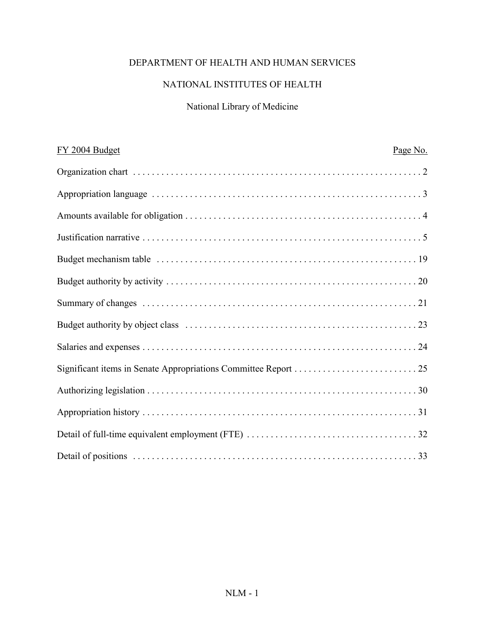## DEPARTMENT OF HEALTH AND HUMAN SERVICES

# NATIONAL INSTITUTES OF HEALTH

# National Library of Medicine

| FY 2004 Budget | Page No. |
|----------------|----------|
|                |          |
|                |          |
|                |          |
|                |          |
|                |          |
|                |          |
|                |          |
|                |          |
|                |          |
|                |          |
|                |          |
|                |          |
|                |          |
|                |          |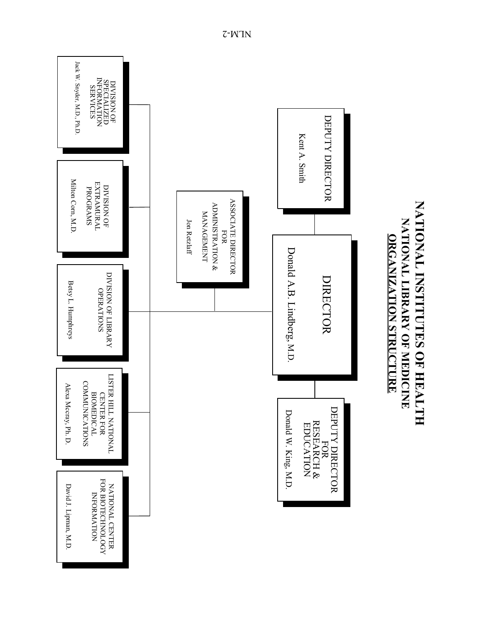

NATIONAL INSTITUTES OF HEALTH **NATIONAL INSTITUTES OF HEALTH** NATIONAL LIBRARY OF MEDICINE **NATIONAL LIBRARY OF MEDICINE ORGANIZATION STRUCTURE ORGANIZATION STRUCTURE**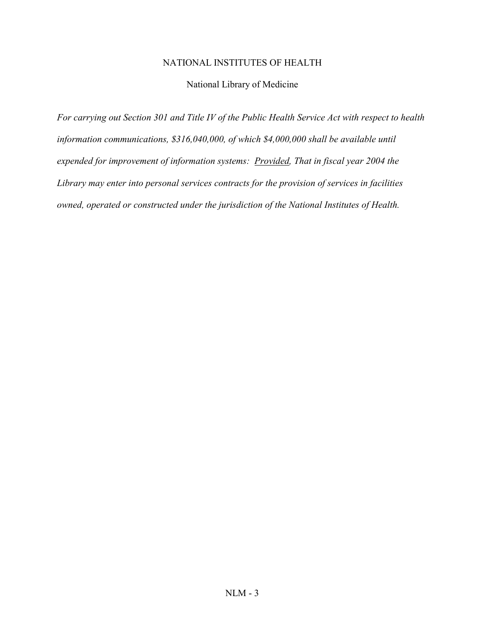## NATIONAL INSTITUTES OF HEALTH

## National Library of Medicine

*For carrying out Section 301 and Title IV of the Public Health Service Act with respect to health information communications, \$316,040,000, of which \$4,000,000 shall be available until expended for improvement of information systems: Provided, That in fiscal year 2004 the Library may enter into personal services contracts for the provision of services in facilities owned, operated or constructed under the jurisdiction of the National Institutes of Health.*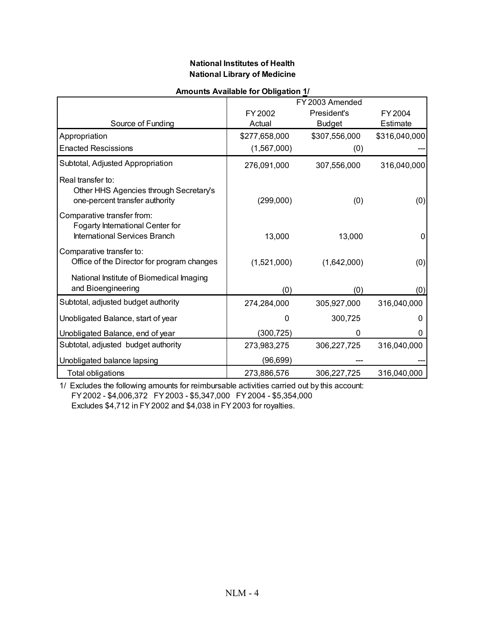### **National Institutes of Health National Library of Medicine**

|                                                                                                 |               | FY 2003 Amended |               |
|-------------------------------------------------------------------------------------------------|---------------|-----------------|---------------|
|                                                                                                 | FY 2002       | President's     | FY 2004       |
| Source of Funding                                                                               | Actual        | <b>Budget</b>   | Estimate      |
| Appropriation                                                                                   | \$277,658,000 | \$307,556,000   | \$316,040,000 |
| <b>Enacted Rescissions</b>                                                                      | (1,567,000)   | (0)             |               |
| Subtotal, Adjusted Appropriation                                                                | 276,091,000   | 307,556,000     | 316,040,000   |
| Real transfer to:<br>Other HHS Agencies through Secretary's<br>one-percent transfer authority   | (299,000)     | (0)             | (0)           |
| Comparative transfer from:<br>Fogarty International Center for<br>International Services Branch | 13,000        | 13,000          | 0             |
| Comparative transfer to:<br>Office of the Director for program changes                          | (1,521,000)   | (1,642,000)     | (0)           |
| National Institute of Biomedical Imaging<br>and Bioengineering                                  | (0)           | (0)             | (0)           |
| Subtotal, adjusted budget authority                                                             | 274,284,000   | 305,927,000     | 316,040,000   |
| Unobligated Balance, start of year                                                              | 0             | 300,725         | O             |
| Unobligated Balance, end of year                                                                | (300, 725)    | 0               | 0             |
| Subtotal, adjusted budget authority                                                             | 273,983,275   | 306,227,725     | 316,040,000   |
| Unobligated balance lapsing                                                                     | (96, 699)     |                 |               |
| Total obligations                                                                               | 273,886,576   | 306,227,725     | 316,040,000   |

### **Amounts Available for Obligation 1/**

1/ Excludes the following amounts for reimbursable activities carried out by this account: FY 2002 - \$4,006,372 FY 2003 - \$5,347,000 FY 2004 - \$5,354,000 Excludes \$4,712 in FY 2002 and \$4,038 in FY 2003 for royalties.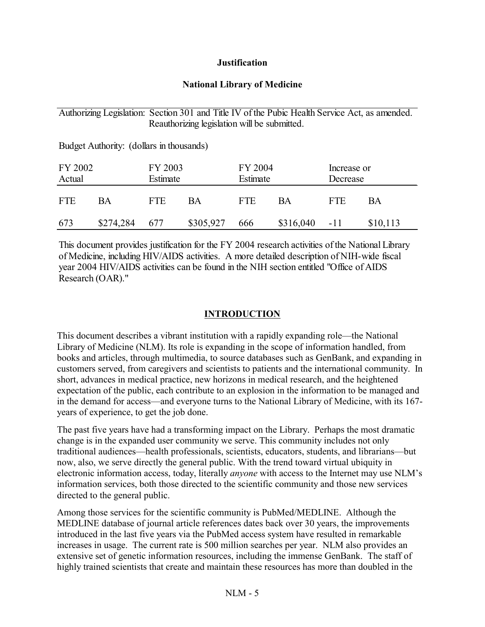## **Justification**

## **National Library of Medicine**

## Authorizing Legislation: Section 301 and Title IV of the Pubic Health Service Act, as amended. Reauthorizing legislation will be submitted.

Budget Authority: (dollars in thousands) FY 2002 FY 2003 FY 2004 Increase or Actual Estimate Estimate Decrease FTE BA FTE BA FTE BA FTE BA 673 \$274,284 677 \$305,927 666 \$316,040 -11 \$10,113

This document provides justification for the FY 2004 research activities of the National Library of Medicine, including HIV/AIDS activities. A more detailed description of NIH-wide fiscal year 2004 HIV/AIDS activities can be found in the NIH section entitled "Office of AIDS Research (OAR)."

## **INTRODUCTION**

This document describes a vibrant institution with a rapidly expanding role—the National Library of Medicine (NLM). Its role is expanding in the scope of information handled, from books and articles, through multimedia, to source databases such as GenBank, and expanding in customers served, from caregivers and scientists to patients and the international community. In short, advances in medical practice, new horizons in medical research, and the heightened expectation of the public, each contribute to an explosion in the information to be managed and in the demand for access—and everyone turns to the National Library of Medicine, with its 167 years of experience, to get the job done.

The past five years have had a transforming impact on the Library. Perhaps the most dramatic change is in the expanded user community we serve. This community includes not only traditional audiences—health professionals, scientists, educators, students, and librarians—but now, also, we serve directly the general public. With the trend toward virtual ubiquity in electronic information access, today, literally *anyone* with access to the Internet may use NLM's information services, both those directed to the scientific community and those new services directed to the general public.

Among those services for the scientific community is PubMed/MEDLINE. Although the MEDLINE database of journal article references dates back over 30 years, the improvements introduced in the last five years via the PubMed access system have resulted in remarkable increases in usage. The current rate is 500 million searches per year. NLM also provides an extensive set of genetic information resources, including the immense GenBank. The staff of highly trained scientists that create and maintain these resources has more than doubled in the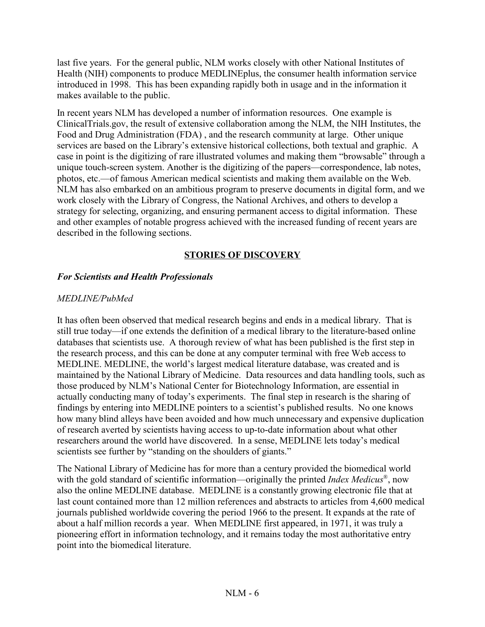last five years. For the general public, NLM works closely with other National Institutes of Health (NIH) components to produce MEDLINEplus, the consumer health information service introduced in 1998. This has been expanding rapidly both in usage and in the information it makes available to the public.

In recent years NLM has developed a number of information resources. One example is ClinicalTrials.gov, the result of extensive collaboration among the NLM, the NIH Institutes, the Food and Drug Administration (FDA) , and the research community at large. Other unique services are based on the Library's extensive historical collections, both textual and graphic. A case in point is the digitizing of rare illustrated volumes and making them "browsable" through a unique touch-screen system. Another is the digitizing of the papers—correspondence, lab notes, photos, etc.—of famous American medical scientists and making them available on the Web. NLM has also embarked on an ambitious program to preserve documents in digital form, and we work closely with the Library of Congress, the National Archives, and others to develop a strategy for selecting, organizing, and ensuring permanent access to digital information. These and other examples of notable progress achieved with the increased funding of recent years are described in the following sections.

## **STORIES OF DISCOVERY**

## *For Scientists and Health Professionals*

## *MEDLINE/PubMed*

It has often been observed that medical research begins and ends in a medical library. That is still true today—if one extends the definition of a medical library to the literature-based online databases that scientists use. A thorough review of what has been published is the first step in the research process, and this can be done at any computer terminal with free Web access to MEDLINE. MEDLINE, the world's largest medical literature database, was created and is maintained by the National Library of Medicine. Data resources and data handling tools, such as those produced by NLM's National Center for Biotechnology Information, are essential in actually conducting many of today's experiments. The final step in research is the sharing of findings by entering into MEDLINE pointers to a scientist's published results. No one knows how many blind alleys have been avoided and how much unnecessary and expensive duplication of research averted by scientists having access to up-to-date information about what other researchers around the world have discovered. In a sense, MEDLINE lets today's medical scientists see further by "standing on the shoulders of giants."

The National Library of Medicine has for more than a century provided the biomedical world with the gold standard of scientific information—originally the printed *Index Medicus*®, now also the online MEDLINE database. MEDLINE is a constantly growing electronic file that at last count contained more than 12 million references and abstracts to articles from 4,600 medical journals published worldwide covering the period 1966 to the present. It expands at the rate of about a half million records a year. When MEDLINE first appeared, in 1971, it was truly a pioneering effort in information technology, and it remains today the most authoritative entry point into the biomedical literature.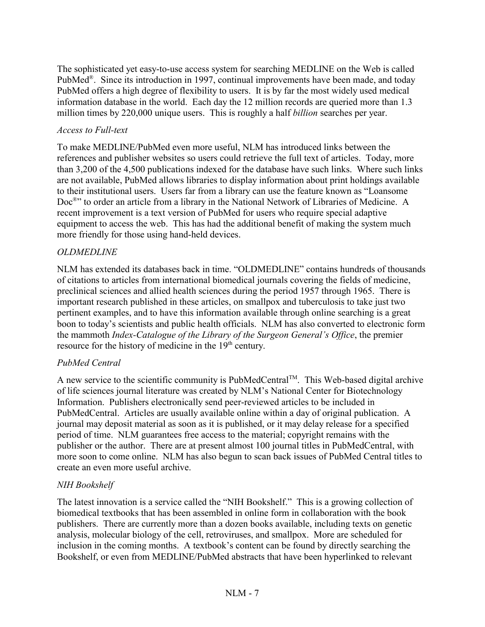The sophisticated yet easy-to-use access system for searching MEDLINE on the Web is called PubMed®. Since its introduction in 1997, continual improvements have been made, and today PubMed offers a high degree of flexibility to users. It is by far the most widely used medical information database in the world. Each day the 12 million records are queried more than 1.3 million times by 220,000 unique users. This is roughly a half *billion* searches per year.

## *Access to Full-text*

To make MEDLINE/PubMed even more useful, NLM has introduced links between the references and publisher websites so users could retrieve the full text of articles. Today, more than 3,200 of the 4,500 publications indexed for the database have such links. Where such links are not available, PubMed allows libraries to display information about print holdings available to their institutional users. Users far from a library can use the feature known as "Loansome Doc®" to order an article from a library in the National Network of Libraries of Medicine. A recent improvement is a text version of PubMed for users who require special adaptive equipment to access the web. This has had the additional benefit of making the system much more friendly for those using hand-held devices.

### *OLDMEDLINE*

NLM has extended its databases back in time. "OLDMEDLINE" contains hundreds of thousands of citations to articles from international biomedical journals covering the fields of medicine, preclinical sciences and allied health sciences during the period 1957 through 1965. There is important research published in these articles, on smallpox and tuberculosis to take just two pertinent examples, and to have this information available through online searching is a great boon to today's scientists and public health officials. NLM has also converted to electronic form the mammoth *Index-Catalogue of the Library of the Surgeon General's Office*, the premier resource for the history of medicine in the 19<sup>th</sup> century.

## *PubMed Central*

A new service to the scientific community is PubMedCentral<sup>TM</sup>. This Web-based digital archive of life sciences journal literature was created by NLM's National Center for Biotechnology Information. Publishers electronically send peer-reviewed articles to be included in PubMedCentral. Articles are usually available online within a day of original publication. A journal may deposit material as soon as it is published, or it may delay release for a specified period of time. NLM guarantees free access to the material; copyright remains with the publisher or the author. There are at present almost 100 journal titles in PubMedCentral, with more soon to come online. NLM has also begun to scan back issues of PubMed Central titles to create an even more useful archive.

## *NIH Bookshelf*

The latest innovation is a service called the "NIH Bookshelf." This is a growing collection of biomedical textbooks that has been assembled in online form in collaboration with the book publishers. There are currently more than a dozen books available, including texts on genetic analysis, molecular biology of the cell, retroviruses, and smallpox. More are scheduled for inclusion in the coming months. A textbook's content can be found by directly searching the Bookshelf, or even from MEDLINE/PubMed abstracts that have been hyperlinked to relevant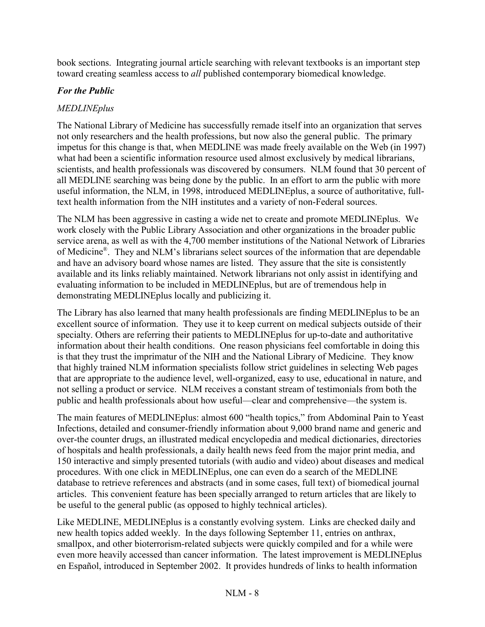book sections. Integrating journal article searching with relevant textbooks is an important step toward creating seamless access to *all* published contemporary biomedical knowledge.

## *For the Public*

## *MEDLINEplus*

The National Library of Medicine has successfully remade itself into an organization that serves not only researchers and the health professions, but now also the general public. The primary impetus for this change is that, when MEDLINE was made freely available on the Web (in 1997) what had been a scientific information resource used almost exclusively by medical librarians, scientists, and health professionals was discovered by consumers. NLM found that 30 percent of all MEDLINE searching was being done by the public. In an effort to arm the public with more useful information, the NLM, in 1998, introduced MEDLINEplus, a source of authoritative, fulltext health information from the NIH institutes and a variety of non-Federal sources.

The NLM has been aggressive in casting a wide net to create and promote MEDLINEplus. We work closely with the Public Library Association and other organizations in the broader public service arena, as well as with the 4,700 member institutions of the National Network of Libraries of Medicine®. They and NLM's librarians select sources of the information that are dependable and have an advisory board whose names are listed. They assure that the site is consistently available and its links reliably maintained. Network librarians not only assist in identifying and evaluating information to be included in MEDLINEplus, but are of tremendous help in demonstrating MEDLINEplus locally and publicizing it.

The Library has also learned that many health professionals are finding MEDLINEplus to be an excellent source of information. They use it to keep current on medical subjects outside of their specialty. Others are referring their patients to MEDLINEplus for up-to-date and authoritative information about their health conditions. One reason physicians feel comfortable in doing this is that they trust the imprimatur of the NIH and the National Library of Medicine. They know that highly trained NLM information specialists follow strict guidelines in selecting Web pages that are appropriate to the audience level, well-organized, easy to use, educational in nature, and not selling a product or service. NLM receives a constant stream of testimonials from both the public and health professionals about how useful—clear and comprehensive—the system is.

The main features of MEDLINEplus: almost 600 "health topics," from Abdominal Pain to Yeast Infections, detailed and consumer-friendly information about 9,000 brand name and generic and over-the counter drugs, an illustrated medical encyclopedia and medical dictionaries, directories of hospitals and health professionals, a daily health news feed from the major print media, and 150 interactive and simply presented tutorials (with audio and video) about diseases and medical procedures. With one click in MEDLINEplus, one can even do a search of the MEDLINE database to retrieve references and abstracts (and in some cases, full text) of biomedical journal articles. This convenient feature has been specially arranged to return articles that are likely to be useful to the general public (as opposed to highly technical articles).

Like MEDLINE, MEDLINEplus is a constantly evolving system. Links are checked daily and new health topics added weekly. In the days following September 11, entries on anthrax, smallpox, and other bioterrorism-related subjects were quickly compiled and for a while were even more heavily accessed than cancer information. The latest improvement is MEDLINEplus en Español, introduced in September 2002. It provides hundreds of links to health information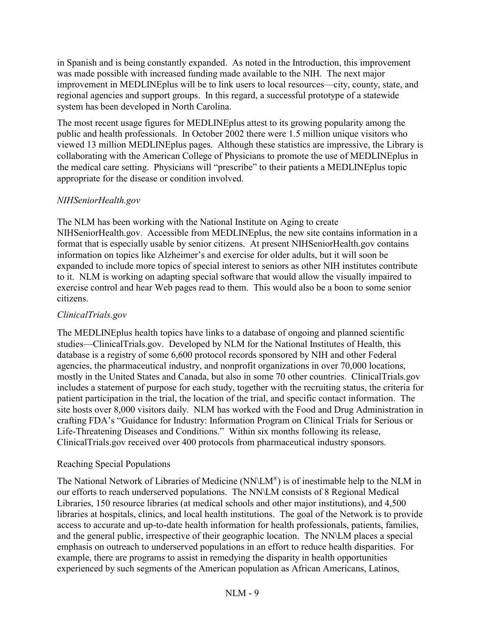in Spanish and is being constantly expanded. As noted in the Introduction, this improvement was made possible with increased funding made available to the NIH. The next major improvement in MEDLINEplus will be to link users to local resources—city, county, state, and regional agencies and support groups. In this regard, a successful prototype of a statewide system has been developed in North Carolina.

The most recent usage figures for MEDLINEplus attest to its growing popularity among the public and health professionals. In October 2002 there were 1.5 million unique visitors who viewed 13 million MEDLINEplus pages. Although these statistics are impressive, the Library is collaborating with the American College of Physicians to promote the use of MEDLINEplus in the medical care setting. Physicians will "prescribe" to their patients a MEDLINEplus topic appropriate for the disease or condition involved.

## *NIHSeniorHealth.gov*

The NLM has been working with the National Institute on Aging to create NIHSeniorHealth.gov. Accessible from MEDLINEplus, the new site contains information in a format that is especially usable by senior citizens. At present NIHSeniorHealth.gov contains information on topics like Alzheimer's and exercise for older adults, but it will soon be expanded to include more topics of special interest to seniors as other NIH institutes contribute to it. NLM is working on adapting special software that would allow the visually impaired to exercise control and hear Web pages read to them. This would also be a boon to some senior citizens.

## *ClinicalTrials.gov*

The MEDLINEplus health topics have links to a database of ongoing and planned scientific studies—ClinicalTrials.gov. Developed by NLM for the National Institutes of Health, this database is a registry of some 6,600 protocol records sponsored by NIH and other Federal agencies, the pharmaceutical industry, and nonprofit organizations in over 70,000 locations, mostly in the United States and Canada, but also in some 70 other countries. ClinicalTrials.gov includes a statement of purpose for each study, together with the recruiting status, the criteria for patient participation in the trial, the location of the trial, and specific contact information. The site hosts over 8,000 visitors daily. NLM has worked with the Food and Drug Administration in crafting FDA's "Guidance for Industry: Information Program on Clinical Trials for Serious or Life-Threatening Diseases and Conditions." Within six months following its release, ClinicalTrials.gov received over 400 protocols from pharmaceutical industry sponsors.

## Reaching Special Populations

The National Network of Libraries of Medicine (NN\LM®) is of inestimable help to the NLM in our efforts to reach underserved populations. The NN\LM consists of 8 Regional Medical Libraries, 150 resource libraries (at medical schools and other major institutions), and 4,500 libraries at hospitals, clinics, and local health institutions. The goal of the Network is to provide access to accurate and up-to-date health information for health professionals, patients, families, and the general public, irrespective of their geographic location. The NN\LM places a special emphasis on outreach to underserved populations in an effort to reduce health disparities. For example, there are programs to assist in remedying the disparity in health opportunities experienced by such segments of the American population as African Americans, Latinos,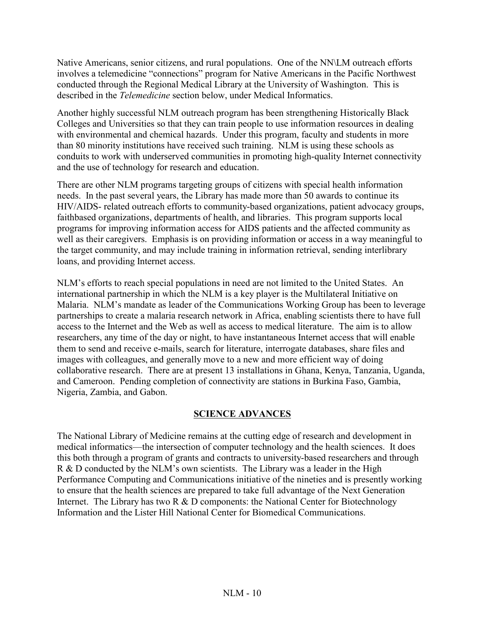Native Americans, senior citizens, and rural populations. One of the NN\LM outreach efforts involves a telemedicine "connections" program for Native Americans in the Pacific Northwest conducted through the Regional Medical Library at the University of Washington. This is described in the *Telemedicine* section below, under Medical Informatics.

Another highly successful NLM outreach program has been strengthening Historically Black Colleges and Universities so that they can train people to use information resources in dealing with environmental and chemical hazards. Under this program, faculty and students in more than 80 minority institutions have received such training. NLM is using these schools as conduits to work with underserved communities in promoting high-quality Internet connectivity and the use of technology for research and education.

There are other NLM programs targeting groups of citizens with special health information needs. In the past several years, the Library has made more than 50 awards to continue its HIV/AIDS- related outreach efforts to community-based organizations, patient advocacy groups, faithbased organizations, departments of health, and libraries. This program supports local programs for improving information access for AIDS patients and the affected community as well as their caregivers. Emphasis is on providing information or access in a way meaningful to the target community, and may include training in information retrieval, sending interlibrary loans, and providing Internet access.

NLM's efforts to reach special populations in need are not limited to the United States. An international partnership in which the NLM is a key player is the Multilateral Initiative on Malaria. NLM's mandate as leader of the Communications Working Group has been to leverage partnerships to create a malaria research network in Africa, enabling scientists there to have full access to the Internet and the Web as well as access to medical literature. The aim is to allow researchers, any time of the day or night, to have instantaneous Internet access that will enable them to send and receive e-mails, search for literature, interrogate databases, share files and images with colleagues, and generally move to a new and more efficient way of doing collaborative research. There are at present 13 installations in Ghana, Kenya, Tanzania, Uganda, and Cameroon. Pending completion of connectivity are stations in Burkina Faso, Gambia, Nigeria, Zambia, and Gabon.

## **SCIENCE ADVANCES**

The National Library of Medicine remains at the cutting edge of research and development in medical informatics—the intersection of computer technology and the health sciences. It does this both through a program of grants and contracts to university-based researchers and through R & D conducted by the NLM's own scientists. The Library was a leader in the High Performance Computing and Communications initiative of the nineties and is presently working to ensure that the health sciences are prepared to take full advantage of the Next Generation Internet. The Library has two R  $&$  D components: the National Center for Biotechnology Information and the Lister Hill National Center for Biomedical Communications.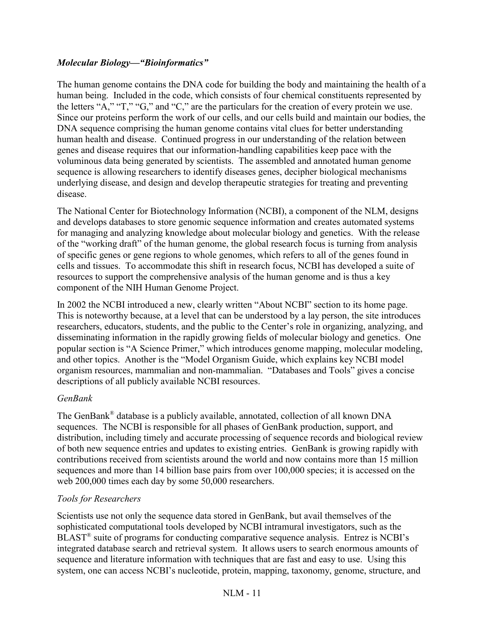## *Molecular Biology—"Bioinformatics"*

The human genome contains the DNA code for building the body and maintaining the health of a human being. Included in the code, which consists of four chemical constituents represented by the letters "A," "T," "G," and "C," are the particulars for the creation of every protein we use. Since our proteins perform the work of our cells, and our cells build and maintain our bodies, the DNA sequence comprising the human genome contains vital clues for better understanding human health and disease. Continued progress in our understanding of the relation between genes and disease requires that our information-handling capabilities keep pace with the voluminous data being generated by scientists. The assembled and annotated human genome sequence is allowing researchers to identify diseases genes, decipher biological mechanisms underlying disease, and design and develop therapeutic strategies for treating and preventing disease.

The National Center for Biotechnology Information (NCBI), a component of the NLM, designs and develops databases to store genomic sequence information and creates automated systems for managing and analyzing knowledge about molecular biology and genetics. With the release of the "working draft" of the human genome, the global research focus is turning from analysis of specific genes or gene regions to whole genomes, which refers to all of the genes found in cells and tissues. To accommodate this shift in research focus, NCBI has developed a suite of resources to support the comprehensive analysis of the human genome and is thus a key component of the NIH Human Genome Project.

In 2002 the NCBI introduced a new, clearly written "About NCBI" section to its home page. This is noteworthy because, at a level that can be understood by a lay person, the site introduces researchers, educators, students, and the public to the Center's role in organizing, analyzing, and disseminating information in the rapidly growing fields of molecular biology and genetics. One popular section is "A Science Primer," which introduces genome mapping, molecular modeling, and other topics. Another is the "Model Organism Guide, which explains key NCBI model organism resources, mammalian and non-mammalian. "Databases and Tools" gives a concise descriptions of all publicly available NCBI resources.

## *GenBank*

The GenBank® database is a publicly available, annotated, collection of all known DNA sequences. The NCBI is responsible for all phases of GenBank production, support, and distribution, including timely and accurate processing of sequence records and biological review of both new sequence entries and updates to existing entries. GenBank is growing rapidly with contributions received from scientists around the world and now contains more than 15 million sequences and more than 14 billion base pairs from over 100,000 species; it is accessed on the web 200,000 times each day by some 50,000 researchers.

## *Tools for Researchers*

Scientists use not only the sequence data stored in GenBank, but avail themselves of the sophisticated computational tools developed by NCBI intramural investigators, such as the BLAST® suite of programs for conducting comparative sequence analysis. Entrez is NCBI's integrated database search and retrieval system. It allows users to search enormous amounts of sequence and literature information with techniques that are fast and easy to use. Using this system, one can access NCBI's nucleotide, protein, mapping, taxonomy, genome, structure, and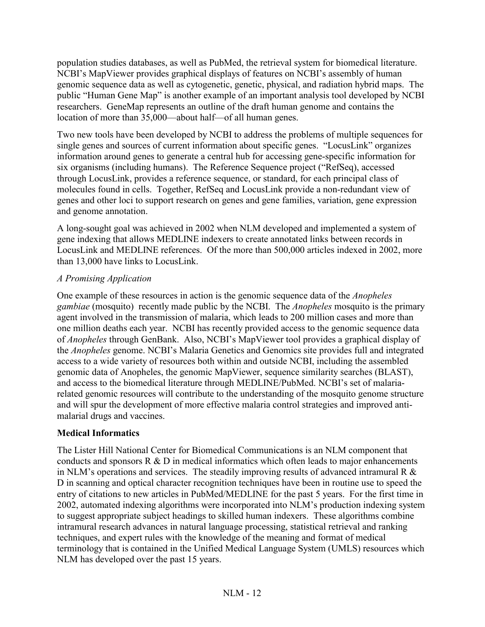population studies databases, as well as PubMed, the retrieval system for biomedical literature. NCBI's MapViewer provides graphical displays of features on NCBI's assembly of human genomic sequence data as well as cytogenetic, genetic, physical, and radiation hybrid maps. The public "Human Gene Map" is another example of an important analysis tool developed by NCBI researchers. GeneMap represents an outline of the draft human genome and contains the location of more than 35,000—about half—of all human genes.

Two new tools have been developed by NCBI to address the problems of multiple sequences for single genes and sources of current information about specific genes. "LocusLink" organizes information around genes to generate a central hub for accessing gene-specific information for six organisms (including humans). The Reference Sequence project ("RefSeq), accessed through LocusLink, provides a reference sequence, or standard, for each principal class of molecules found in cells. Together, RefSeq and LocusLink provide a non-redundant view of genes and other loci to support research on genes and gene families, variation, gene expression and genome annotation.

A long-sought goal was achieved in 2002 when NLM developed and implemented a system of gene indexing that allows MEDLINE indexers to create annotated links between records in LocusLink and MEDLINE references. Of the more than 500,000 articles indexed in 2002, more than 13,000 have links to LocusLink.

## *A Promising Application*

One example of these resources in action is the genomic sequence data of the *Anopheles gambiae* (mosquito) recently made public by the NCBI. The *Anopheles* mosquito is the primary agent involved in the transmission of malaria, which leads to 200 million cases and more than one million deaths each year. NCBI has recently provided access to the genomic sequence data of *Anopheles* through GenBank. Also, NCBI's MapViewer tool provides a graphical display of the *Anopheles* genome. NCBI's Malaria Genetics and Genomics site provides full and integrated access to a wide variety of resources both within and outside NCBI, including the assembled genomic data of Anopheles, the genomic MapViewer, sequence similarity searches (BLAST), and access to the biomedical literature through MEDLINE/PubMed. NCBI's set of malariarelated genomic resources will contribute to the understanding of the mosquito genome structure and will spur the development of more effective malaria control strategies and improved antimalarial drugs and vaccines.

## **Medical Informatics**

The Lister Hill National Center for Biomedical Communications is an NLM component that conducts and sponsors  $R \& D$  in medical informatics which often leads to major enhancements in NLM's operations and services. The steadily improving results of advanced intramural R & D in scanning and optical character recognition techniques have been in routine use to speed the entry of citations to new articles in PubMed/MEDLINE for the past 5 years. For the first time in 2002, automated indexing algorithms were incorporated into NLM's production indexing system to suggest appropriate subject headings to skilled human indexers. These algorithms combine intramural research advances in natural language processing, statistical retrieval and ranking techniques, and expert rules with the knowledge of the meaning and format of medical terminology that is contained in the Unified Medical Language System (UMLS) resources which NLM has developed over the past 15 years.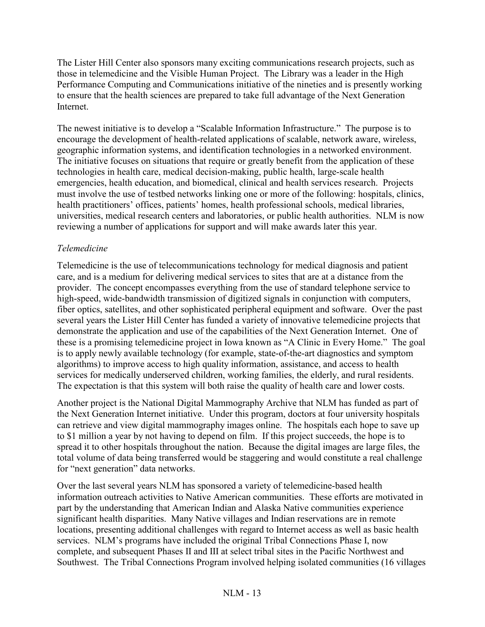The Lister Hill Center also sponsors many exciting communications research projects, such as those in telemedicine and the Visible Human Project. The Library was a leader in the High Performance Computing and Communications initiative of the nineties and is presently working to ensure that the health sciences are prepared to take full advantage of the Next Generation **Internet** 

The newest initiative is to develop a "Scalable Information Infrastructure." The purpose is to encourage the development of health-related applications of scalable, network aware, wireless, geographic information systems, and identification technologies in a networked environment. The initiative focuses on situations that require or greatly benefit from the application of these technologies in health care, medical decision-making, public health, large-scale health emergencies, health education, and biomedical, clinical and health services research. Projects must involve the use of testbed networks linking one or more of the following: hospitals, clinics, health practitioners' offices, patients' homes, health professional schools, medical libraries, universities, medical research centers and laboratories, or public health authorities. NLM is now reviewing a number of applications for support and will make awards later this year.

## *Telemedicine*

Telemedicine is the use of telecommunications technology for medical diagnosis and patient care, and is a medium for delivering medical services to sites that are at a distance from the provider. The concept encompasses everything from the use of standard telephone service to high-speed, wide-bandwidth transmission of digitized signals in conjunction with computers, fiber optics, satellites, and other sophisticated peripheral equipment and software. Over the past several years the Lister Hill Center has funded a variety of innovative telemedicine projects that demonstrate the application and use of the capabilities of the Next Generation Internet. One of these is a promising telemedicine project in Iowa known as "A Clinic in Every Home." The goal is to apply newly available technology (for example, state-of-the-art diagnostics and symptom algorithms) to improve access to high quality information, assistance, and access to health services for medically underserved children, working families, the elderly, and rural residents. The expectation is that this system will both raise the quality of health care and lower costs.

Another project is the National Digital Mammography Archive that NLM has funded as part of the Next Generation Internet initiative. Under this program, doctors at four university hospitals can retrieve and view digital mammography images online. The hospitals each hope to save up to \$1 million a year by not having to depend on film. If this project succeeds, the hope is to spread it to other hospitals throughout the nation. Because the digital images are large files, the total volume of data being transferred would be staggering and would constitute a real challenge for "next generation" data networks.

Over the last several years NLM has sponsored a variety of telemedicine-based health information outreach activities to Native American communities. These efforts are motivated in part by the understanding that American Indian and Alaska Native communities experience significant health disparities. Many Native villages and Indian reservations are in remote locations, presenting additional challenges with regard to Internet access as well as basic health services. NLM's programs have included the original Tribal Connections Phase I, now complete, and subsequent Phases II and III at select tribal sites in the Pacific Northwest and Southwest. The Tribal Connections Program involved helping isolated communities (16 villages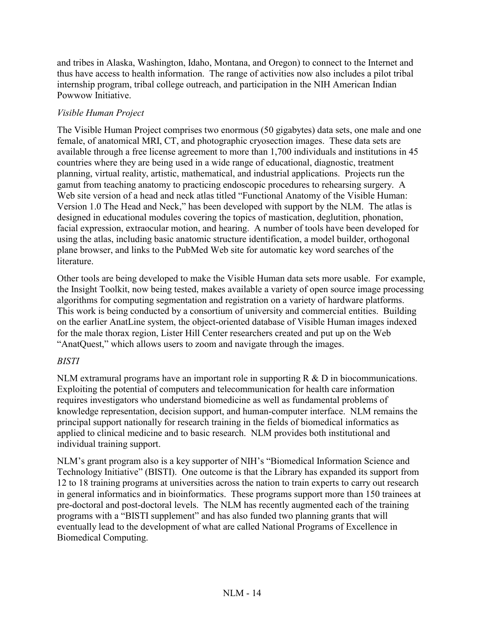and tribes in Alaska, Washington, Idaho, Montana, and Oregon) to connect to the Internet and thus have access to health information. The range of activities now also includes a pilot tribal internship program, tribal college outreach, and participation in the NIH American Indian Powwow Initiative.

## *Visible Human Project*

The Visible Human Project comprises two enormous (50 gigabytes) data sets, one male and one female, of anatomical MRI, CT, and photographic cryosection images. These data sets are available through a free license agreement to more than 1,700 individuals and institutions in 45 countries where they are being used in a wide range of educational, diagnostic, treatment planning, virtual reality, artistic, mathematical, and industrial applications. Projects run the gamut from teaching anatomy to practicing endoscopic procedures to rehearsing surgery. A Web site version of a head and neck atlas titled "Functional Anatomy of the Visible Human: Version 1.0 The Head and Neck," has been developed with support by the NLM. The atlas is designed in educational modules covering the topics of mastication, deglutition, phonation, facial expression, extraocular motion, and hearing. A number of tools have been developed for using the atlas, including basic anatomic structure identification, a model builder, orthogonal plane browser, and links to the PubMed Web site for automatic key word searches of the literature.

Other tools are being developed to make the Visible Human data sets more usable. For example, the Insight Toolkit, now being tested, makes available a variety of open source image processing algorithms for computing segmentation and registration on a variety of hardware platforms. This work is being conducted by a consortium of university and commercial entities. Building on the earlier AnatLine system, the object-oriented database of Visible Human images indexed for the male thorax region, Lister Hill Center researchers created and put up on the Web "AnatQuest," which allows users to zoom and navigate through the images.

## *BISTI*

NLM extramural programs have an important role in supporting R & D in biocommunications. Exploiting the potential of computers and telecommunication for health care information requires investigators who understand biomedicine as well as fundamental problems of knowledge representation, decision support, and human-computer interface. NLM remains the principal support nationally for research training in the fields of biomedical informatics as applied to clinical medicine and to basic research. NLM provides both institutional and individual training support.

NLM's grant program also is a key supporter of NIH's "Biomedical Information Science and Technology Initiative" (BISTI). One outcome is that the Library has expanded its support from 12 to 18 training programs at universities across the nation to train experts to carry out research in general informatics and in bioinformatics. These programs support more than 150 trainees at pre-doctoral and post-doctoral levels. The NLM has recently augmented each of the training programs with a "BISTI supplement" and has also funded two planning grants that will eventually lead to the development of what are called National Programs of Excellence in Biomedical Computing.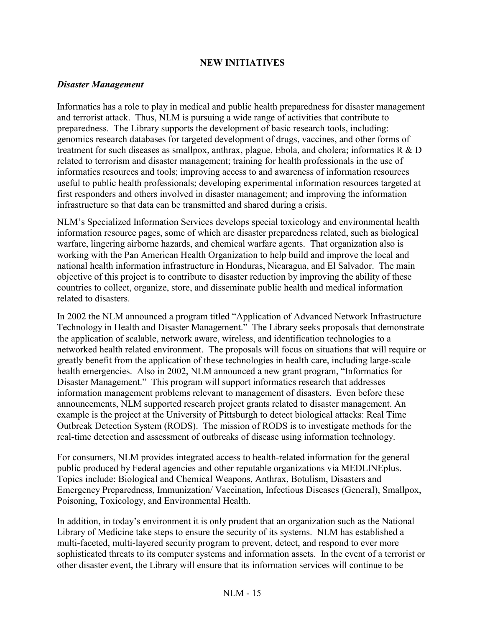## **NEW INITIATIVES**

### *Disaster Management*

Informatics has a role to play in medical and public health preparedness for disaster management and terrorist attack. Thus, NLM is pursuing a wide range of activities that contribute to preparedness. The Library supports the development of basic research tools, including: genomics research databases for targeted development of drugs, vaccines, and other forms of treatment for such diseases as smallpox, anthrax, plague, Ebola, and cholera; informatics R & D related to terrorism and disaster management; training for health professionals in the use of informatics resources and tools; improving access to and awareness of information resources useful to public health professionals; developing experimental information resources targeted at first responders and others involved in disaster management; and improving the information infrastructure so that data can be transmitted and shared during a crisis.

NLM's Specialized Information Services develops special toxicology and environmental health information resource pages, some of which are disaster preparedness related, such as biological warfare, lingering airborne hazards, and chemical warfare agents. That organization also is working with the Pan American Health Organization to help build and improve the local and national health information infrastructure in Honduras, Nicaragua, and El Salvador. The main objective of this project is to contribute to disaster reduction by improving the ability of these countries to collect, organize, store, and disseminate public health and medical information related to disasters.

In 2002 the NLM announced a program titled "Application of Advanced Network Infrastructure Technology in Health and Disaster Management." The Library seeks proposals that demonstrate the application of scalable, network aware, wireless, and identification technologies to a networked health related environment. The proposals will focus on situations that will require or greatly benefit from the application of these technologies in health care, including large-scale health emergencies. Also in 2002, NLM announced a new grant program, "Informatics for Disaster Management." This program will support informatics research that addresses information management problems relevant to management of disasters. Even before these announcements, NLM supported research project grants related to disaster management. An example is the project at the University of Pittsburgh to detect biological attacks: Real Time Outbreak Detection System (RODS). The mission of RODS is to investigate methods for the real-time detection and assessment of outbreaks of disease using information technology.

For consumers, NLM provides integrated access to health-related information for the general public produced by Federal agencies and other reputable organizations via MEDLINEplus. Topics include: Biological and Chemical Weapons, Anthrax, Botulism, Disasters and Emergency Preparedness, Immunization/ Vaccination, Infectious Diseases (General), Smallpox, Poisoning, Toxicology, and Environmental Health.

In addition, in today's environment it is only prudent that an organization such as the National Library of Medicine take steps to ensure the security of its systems. NLM has established a multi-faceted, multi-layered security program to prevent, detect, and respond to ever more sophisticated threats to its computer systems and information assets. In the event of a terrorist or other disaster event, the Library will ensure that its information services will continue to be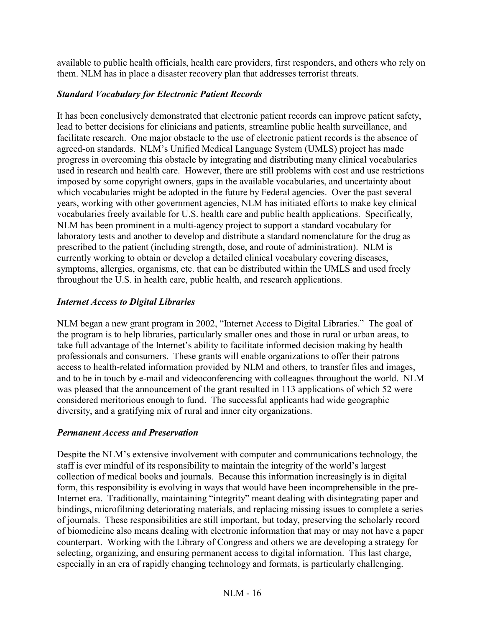available to public health officials, health care providers, first responders, and others who rely on them. NLM has in place a disaster recovery plan that addresses terrorist threats.

## *Standard Vocabulary for Electronic Patient Records*

It has been conclusively demonstrated that electronic patient records can improve patient safety, lead to better decisions for clinicians and patients, streamline public health surveillance, and facilitate research. One major obstacle to the use of electronic patient records is the absence of agreed-on standards. NLM's Unified Medical Language System (UMLS) project has made progress in overcoming this obstacle by integrating and distributing many clinical vocabularies used in research and health care. However, there are still problems with cost and use restrictions imposed by some copyright owners, gaps in the available vocabularies, and uncertainty about which vocabularies might be adopted in the future by Federal agencies. Over the past several years, working with other government agencies, NLM has initiated efforts to make key clinical vocabularies freely available for U.S. health care and public health applications. Specifically, NLM has been prominent in a multi-agency project to support a standard vocabulary for laboratory tests and another to develop and distribute a standard nomenclature for the drug as prescribed to the patient (including strength, dose, and route of administration). NLM is currently working to obtain or develop a detailed clinical vocabulary covering diseases, symptoms, allergies, organisms, etc. that can be distributed within the UMLS and used freely throughout the U.S. in health care, public health, and research applications.

## *Internet Access to Digital Libraries*

NLM began a new grant program in 2002, "Internet Access to Digital Libraries." The goal of the program is to help libraries, particularly smaller ones and those in rural or urban areas, to take full advantage of the Internet's ability to facilitate informed decision making by health professionals and consumers. These grants will enable organizations to offer their patrons access to health-related information provided by NLM and others, to transfer files and images, and to be in touch by e-mail and videoconferencing with colleagues throughout the world. NLM was pleased that the announcement of the grant resulted in 113 applications of which 52 were considered meritorious enough to fund. The successful applicants had wide geographic diversity, and a gratifying mix of rural and inner city organizations.

## *Permanent Access and Preservation*

Despite the NLM's extensive involvement with computer and communications technology, the staff is ever mindful of its responsibility to maintain the integrity of the world's largest collection of medical books and journals. Because this information increasingly is in digital form, this responsibility is evolving in ways that would have been incomprehensible in the pre-Internet era. Traditionally, maintaining "integrity" meant dealing with disintegrating paper and bindings, microfilming deteriorating materials, and replacing missing issues to complete a series of journals. These responsibilities are still important, but today, preserving the scholarly record of biomedicine also means dealing with electronic information that may or may not have a paper counterpart. Working with the Library of Congress and others we are developing a strategy for selecting, organizing, and ensuring permanent access to digital information. This last charge, especially in an era of rapidly changing technology and formats, is particularly challenging.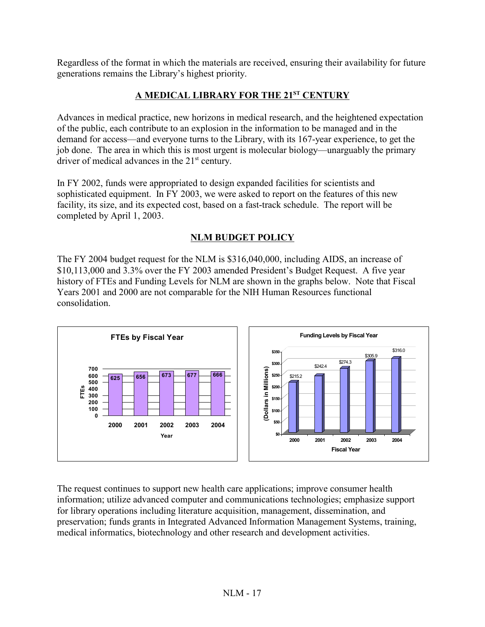Regardless of the format in which the materials are received, ensuring their availability for future generations remains the Library's highest priority.

## **A MEDICAL LIBRARY FOR THE 21ST CENTURY**

Advances in medical practice, new horizons in medical research, and the heightened expectation of the public, each contribute to an explosion in the information to be managed and in the demand for access—and everyone turns to the Library, with its 167-year experience, to get the job done. The area in which this is most urgent is molecular biology—unarguably the primary driver of medical advances in the  $21<sup>st</sup>$  century.

In FY 2002, funds were appropriated to design expanded facilities for scientists and sophisticated equipment. In FY 2003, we were asked to report on the features of this new facility, its size, and its expected cost, based on a fast-track schedule. The report will be completed by April 1, 2003.

## **NLM BUDGET POLICY**

The FY 2004 budget request for the NLM is \$316,040,000, including AIDS, an increase of \$10,113,000 and 3.3% over the FY 2003 amended President's Budget Request. A five year history of FTEs and Funding Levels for NLM are shown in the graphs below. Note that Fiscal Years 2001 and 2000 are not comparable for the NIH Human Resources functional consolidation.



The request continues to support new health care applications; improve consumer health information; utilize advanced computer and communications technologies; emphasize support for library operations including literature acquisition, management, dissemination, and preservation; funds grants in Integrated Advanced Information Management Systems, training, medical informatics, biotechnology and other research and development activities.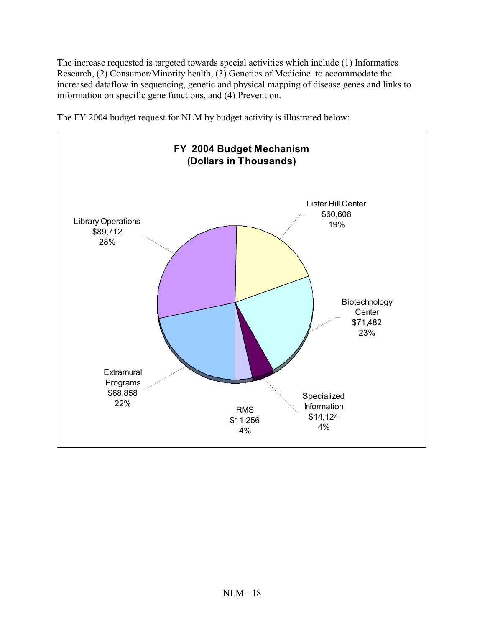The increase requested is targeted towards special activities which include (1) Informatics Research, (2) Consumer/Minority health, (3) Genetics of Medicine–to accommodate the increased dataflow in sequencing, genetic and physical mapping of disease genes and links to information on specific gene functions, and (4) Prevention.

**FY 2004 Budget Mechanism (Dollars in Thousands)** Biotechnology **Center** \$71,482 23% Lister Hill Center \$60,608 Library Operations 19% \$89,712 28%

The FY 2004 budget request for NLM by budget activity is illustrated below:

**Extramural** Programs \$68,858 22%

RMS \$11,256 4%

Specialized Information \$14,124 4%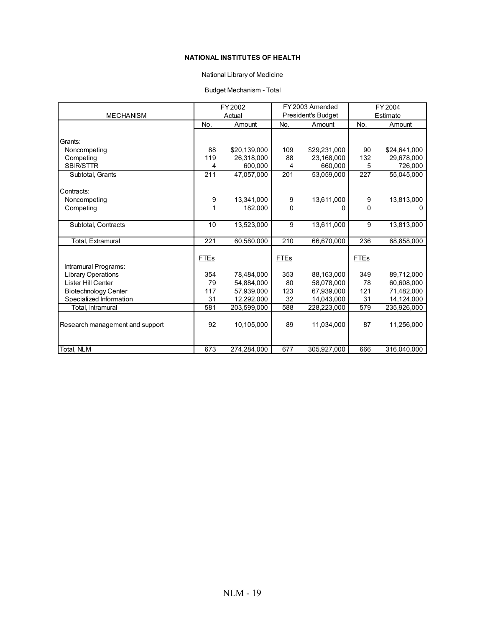#### **NATIONAL INSTITUTES OF HEALTH**

#### National Library of Medicine

#### Budget Mechanism - Total

|                                 |             | FY 2002      |              | FY 2003 Amended           |      | FY 2004      |
|---------------------------------|-------------|--------------|--------------|---------------------------|------|--------------|
| <b>MECHANISM</b>                |             | Actual       |              | <b>President's Budget</b> |      | Estimate     |
|                                 | No.         | Amount       | No.          | Amount                    | No.  | Amount       |
|                                 |             |              |              |                           |      |              |
| Grants:                         |             |              |              |                           |      |              |
| Noncompeting                    | 88          | \$20.139.000 | 109          | \$29.231.000              | 90   | \$24.641.000 |
| Competing                       | 119         | 26,318,000   | 88           | 23,168,000                | 132  | 29,678,000   |
| <b>SBIR/STTR</b>                | 4           | 600,000      | 4            | 660,000                   | 5    | 726,000      |
| Subtotal, Grants                | 211         | 47,057,000   | 201          | 53.059.000                | 227  | 55,045,000   |
|                                 |             |              |              |                           |      |              |
| Contracts:                      |             |              |              |                           |      |              |
| Noncompeting                    | 9           | 13,341,000   | 9            | 13,611,000                | 9    | 13,813,000   |
| Competing                       | 1           | 182.000      | $\mathbf{0}$ | O                         | 0    | O            |
|                                 |             |              |              |                           |      |              |
| Subtotal, Contracts             | 10          | 13,523,000   | 9            | 13,611,000                | 9    | 13,813,000   |
|                                 |             |              |              |                           |      |              |
| <b>Total, Extramural</b>        | 221         | 60,580,000   | 210          | 66,670,000                | 236  | 68,858,000   |
|                                 |             |              |              |                           |      |              |
|                                 | <b>FTEs</b> |              | <b>FTEs</b>  |                           | FTEs |              |
| Intramural Programs:            |             |              |              |                           |      |              |
| Library Operations              | 354         | 78,484,000   | 353          | 88,163,000                | 349  | 89,712,000   |
| Lister Hill Center              | 79          | 54,884,000   | 80           | 58,078,000                | 78   | 60.608.000   |
| <b>Biotechnology Center</b>     | 117         | 57,939,000   | 123          | 67,939,000                | 121  | 71,482,000   |
| Specialized Information         | 31          | 12,292,000   | 32           | 14,043,000                | 31   | 14,124,000   |
| Total, Intramural               | 581         | 203,599,000  | 588          | 228,223,000               | 579  | 235,926,000  |
|                                 |             |              |              |                           |      |              |
| Research management and support | 92          | 10,105,000   | 89           | 11,034,000                | 87   | 11,256,000   |
|                                 |             |              |              |                           |      |              |
|                                 |             |              |              |                           |      |              |
| Total, NLM                      | 673         | 274,284,000  | 677          | 305,927,000               | 666  | 316,040,000  |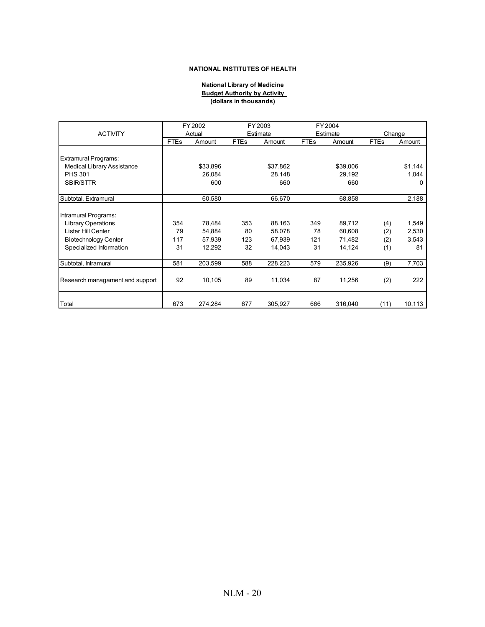#### **NATIONAL INSTITUTES OF HEALTH**

#### **National Library of Medicine Budget Authority by Activity (dollars in thousands)**

|                                 |             | FY 2002  |             | FY 2003  |             | FY 2004  |             |         |
|---------------------------------|-------------|----------|-------------|----------|-------------|----------|-------------|---------|
| <b>ACTIVITY</b>                 |             | Actual   |             | Estimate |             | Estimate | Change      |         |
|                                 | <b>FTEs</b> | Amount   | <b>FTEs</b> | Amount   | <b>FTEs</b> | Amount   | <b>FTEs</b> | Amount  |
|                                 |             |          |             |          |             |          |             |         |
| <b>Extramural Programs:</b>     |             |          |             |          |             |          |             |         |
| Medical Library Assistance      |             | \$33,896 |             | \$37,862 |             | \$39,006 |             | \$1,144 |
| <b>PHS 301</b>                  |             | 26,084   |             | 28,148   |             | 29,192   |             | 1,044   |
| <b>SBIR/STTR</b>                |             | 600      |             | 660      |             | 660      |             | 0       |
| Subtotal, Extramural            |             | 60,580   |             | 66,670   |             | 68,858   |             | 2,188   |
|                                 |             |          |             |          |             |          |             |         |
| Intramural Programs:            |             |          |             |          |             |          |             |         |
| <b>Library Operations</b>       | 354         | 78,484   | 353         | 88,163   | 349         | 89,712   | (4)         | 1,549   |
| Lister Hill Center              | 79          | 54,884   | 80          | 58,078   | 78          | 60,608   | (2)         | 2,530   |
| <b>Biotechnology Center</b>     | 117         | 57,939   | 123         | 67,939   | 121         | 71,482   | (2)         | 3,543   |
| Specialized Information         | 31          | 12,292   | 32          | 14,043   | 31          | 14,124   | (1)         | 81      |
| Subtotal, Intramural            | 581         | 203,599  | 588         | 228,223  | 579         | 235,926  | (9)         | 7,703   |
|                                 |             |          |             |          |             |          |             |         |
| Research managament and support | 92          | 10,105   | 89          | 11,034   | 87          | 11,256   | (2)         | 222     |
|                                 |             |          |             |          |             |          |             |         |
| Total                           | 673         | 274,284  | 677         | 305,927  | 666         | 316,040  | (11)        | 10,113  |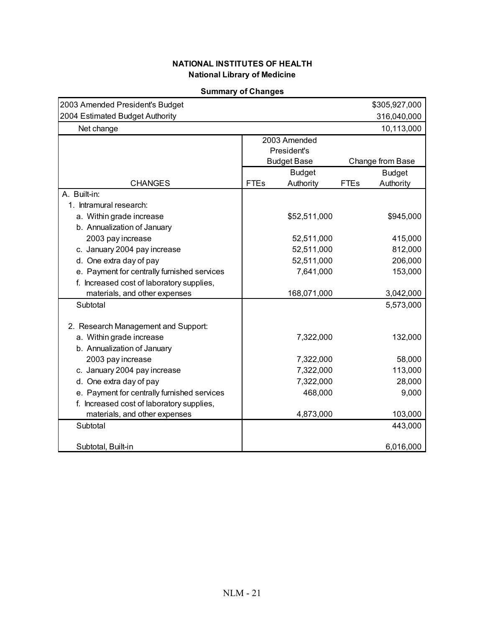| 2003 Amended President's Budget             |                          | \$305,927,000            |
|---------------------------------------------|--------------------------|--------------------------|
| 2004 Estimated Budget Authority             |                          | 316,040,000              |
| Net change                                  |                          | 10,113,000               |
|                                             | 2003 Amended             |                          |
|                                             | President's              |                          |
|                                             | <b>Budget Base</b>       | Change from Base         |
|                                             | <b>Budget</b>            | <b>Budget</b>            |
| <b>CHANGES</b>                              | <b>FTEs</b><br>Authority | <b>FTEs</b><br>Authority |
| A. Built-in:                                |                          |                          |
| 1. Intramural research:                     |                          |                          |
| a. Within grade increase                    | \$52,511,000             | \$945,000                |
| b. Annualization of January                 |                          |                          |
| 2003 pay increase                           | 52,511,000               | 415,000                  |
| c. January 2004 pay increase                | 52,511,000               | 812,000                  |
| d. One extra day of pay                     | 52,511,000               | 206,000                  |
| e. Payment for centrally furnished services | 7,641,000                | 153,000                  |
| f. Increased cost of laboratory supplies,   |                          |                          |
| materials, and other expenses               | 168,071,000              | 3,042,000                |
| Subtotal                                    |                          | 5,573,000                |
|                                             |                          |                          |
| 2. Research Management and Support:         |                          |                          |
| a. Within grade increase                    | 7,322,000                | 132,000                  |
| b. Annualization of January                 |                          |                          |
| 2003 pay increase                           | 7,322,000                | 58,000                   |
| c. January 2004 pay increase                | 7,322,000                | 113,000                  |
| d. One extra day of pay                     | 7,322,000                | 28,000                   |
| e. Payment for centrally furnished services | 468,000                  | 9,000                    |
| f. Increased cost of laboratory supplies,   |                          |                          |
| materials, and other expenses               | 4,873,000                | 103,000                  |
| Subtotal                                    |                          | 443,000                  |
|                                             |                          |                          |
| Subtotal, Built-in                          |                          | 6,016,000                |

### **Summary of Changes**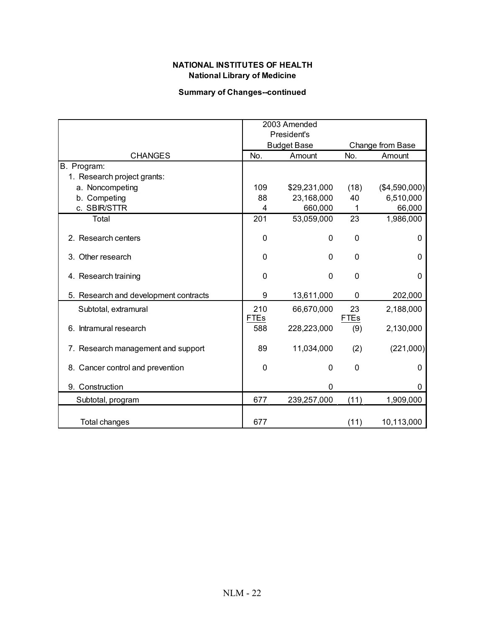## **National Library of Medicine NATIONAL INSTITUTES OF HEALTH**

### **Summary of Changes--continued**

|                                       | 2003 Amended<br>President's |                    |                   |                  |  |
|---------------------------------------|-----------------------------|--------------------|-------------------|------------------|--|
|                                       |                             | <b>Budget Base</b> |                   | Change from Base |  |
| <b>CHANGES</b>                        | No.                         | Amount             | No.               | Amount           |  |
| B. Program:                           |                             |                    |                   |                  |  |
| 1. Research project grants:           |                             |                    |                   |                  |  |
| a. Noncompeting                       | 109                         | \$29,231,000       | (18)              | (\$4,590,000)    |  |
| b. Competing                          | 88                          | 23,168,000         | 40                | 6,510,000        |  |
| c. SBIR/STTR                          | 4                           | 660,000            | 1                 | 66,000           |  |
| Total                                 | 201                         | 53,059,000         | 23                | 1,986,000        |  |
| 2. Research centers                   | 0                           | 0                  | $\mathbf 0$       | 0                |  |
| 3. Other research                     | 0                           | $\Omega$           | 0                 | 0                |  |
| 4. Research training                  | 0                           | 0                  | $\mathbf 0$       | 0                |  |
| 5. Research and development contracts | 9                           | 13,611,000         | 0                 | 202,000          |  |
| Subtotal, extramural                  | 210<br><b>FTEs</b>          | 66,670,000         | 23<br><b>FTEs</b> | 2,188,000        |  |
| Intramural research<br>6.             | 588                         | 228,223,000        | (9)               | 2,130,000        |  |
| 7. Research management and support    | 89                          | 11,034,000         | (2)               | (221,000)        |  |
| 8. Cancer control and prevention      | $\mathbf 0$                 | 0                  | $\mathbf 0$       | 0                |  |
| 9. Construction                       |                             | 0                  |                   | 0                |  |
| Subtotal, program                     | 677                         | 239,257,000        | (11)              | 1,909,000        |  |
| <b>Total changes</b>                  | 677                         |                    | (11)              | 10,113,000       |  |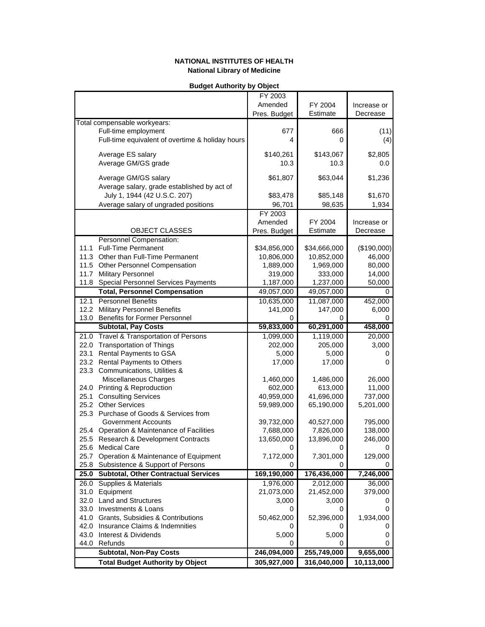#### **Budget Authority by Object**

|      |                                                  | FY 2003      |              |             |
|------|--------------------------------------------------|--------------|--------------|-------------|
|      |                                                  | Amended      | FY 2004      | Increase or |
|      |                                                  | Pres. Budget | Estimate     | Decrease    |
|      | Total compensable workyears:                     |              |              |             |
|      |                                                  |              |              |             |
|      | Full-time employment                             | 677          | 666          | (11)        |
|      | Full-time equivalent of overtime & holiday hours | 4            | 0            | (4)         |
|      | Average ES salary                                | \$140,261    | \$143,067    | \$2,805     |
|      | Average GM/GS grade                              | 10.3         | 10.3         | 0.0         |
|      |                                                  |              |              |             |
|      | Average GM/GS salary                             | \$61,807     | \$63,044     | \$1,236     |
|      | Average salary, grade established by act of      |              |              |             |
|      | July 1, 1944 (42 U.S.C. 207)                     | \$83,478     | \$85,148     | \$1,670     |
|      |                                                  |              |              |             |
|      | Average salary of ungraded positions             | 96,701       | 98,635       | 1,934       |
|      |                                                  | FY 2003      |              |             |
|      |                                                  | Amended      | FY 2004      | Increase or |
|      | OBJECT CLASSES                                   | Pres. Budget | Estimate     | Decrease    |
|      | Personnel Compensation:                          |              |              |             |
| 11.1 | <b>Full-Time Permanent</b>                       | \$34,856,000 | \$34,666,000 | (\$190,000) |
|      | 11.3 Other than Full-Time Permanent              | 10,806,000   | 10,852,000   | 46,000      |
|      | 11.5 Other Personnel Compensation                | 1,889,000    | 1,969,000    | 80,000      |
|      | 11.7 Military Personnel                          | 319,000      | 333,000      | 14,000      |
| 11.8 | <b>Special Personnel Services Payments</b>       | 1,187,000    | 1,237,000    | 50,000      |
|      | <b>Total, Personnel Compensation</b>             | 49,057,000   | 49,057,000   | 0           |
| 12.1 | <b>Personnel Benefits</b>                        | 10,635,000   | 11,087,000   | 452,000     |
| 12.2 | <b>Military Personnel Benefits</b>               | 141,000      | 147,000      | 6,000       |
| 13.0 | <b>Benefits for Former Personnel</b>             | 0            | 0            | 0           |
|      | <b>Subtotal, Pay Costs</b>                       | 59,833,000   | 60,291,000   | 458,000     |
|      |                                                  |              | 1,119,000    | 20,000      |
| 21.0 | Travel & Transportation of Persons               | 1,099,000    |              |             |
| 22.0 | <b>Transportation of Things</b>                  | 202,000      | 205,000      | 3,000       |
| 23.1 | Rental Payments to GSA                           | 5,000        | 5,000        | 0           |
| 23.2 | <b>Rental Payments to Others</b>                 | 17,000       | 17,000       | 0           |
|      | 23.3 Communications, Utilities &                 |              |              |             |
|      | Miscellaneous Charges                            | 1,460,000    | 1,486,000    | 26,000      |
|      | 24.0 Printing & Reproduction                     | 602,000      | 613,000      | 11,000      |
| 25.1 | <b>Consulting Services</b>                       | 40,959,000   | 41,696,000   | 737,000     |
| 25.2 | <b>Other Services</b>                            | 59,989,000   | 65,190,000   | 5,201,000   |
|      | 25.3 Purchase of Goods & Services from           |              |              |             |
|      | <b>Government Accounts</b>                       | 39,732,000   | 40,527,000   | 795,000     |
|      | 25.4 Operation & Maintenance of Facilities       | 7,688,000    | 7,826,000    | 138,000     |
|      | 25.5 Research & Development Contracts            | 13,650,000   | 13,896,000   | 246,000     |
|      | 25.6 Medical Care                                | 0            | 0            |             |
| 25.7 | Operation & Maintenance of Equipment             | 7,172,000    | 7,301,000    | 129,000     |
| 25.8 | Subsistence & Support of Persons                 | 0            | 0            |             |
| 25.0 | <b>Subtotal, Other Contractual Services</b>      | 169,190,000  | 176,436,000  | 7,246,000   |
| 26.0 | <b>Supplies &amp; Materials</b>                  | 1,976,000    | 2,012,000    | 36,000      |
| 31.0 | Equipment                                        | 21,073,000   | 21,452,000   | 379,000     |
|      | 32.0 Land and Structures                         | 3,000        | 3,000        | 0           |
| 33.0 | Investments & Loans                              | 0            | 0            | 0           |
| 41.0 | Grants, Subsidies & Contributions                | 50,462,000   | 52,396,000   | 1,934,000   |
| 42.0 | Insurance Claims & Indemnities                   | 0            | 0            |             |
| 43.0 | Interest & Dividends                             | 5,000        | 5,000        | 0           |
| 44.0 | Refunds                                          | 0            | 0            |             |
|      | <b>Subtotal, Non-Pay Costs</b>                   | 246,094,000  | 255,749,000  | 9,655,000   |
|      |                                                  |              |              |             |
|      | <b>Total Budget Authority by Object</b>          | 305,927,000  | 316,040,000  | 10,113,000  |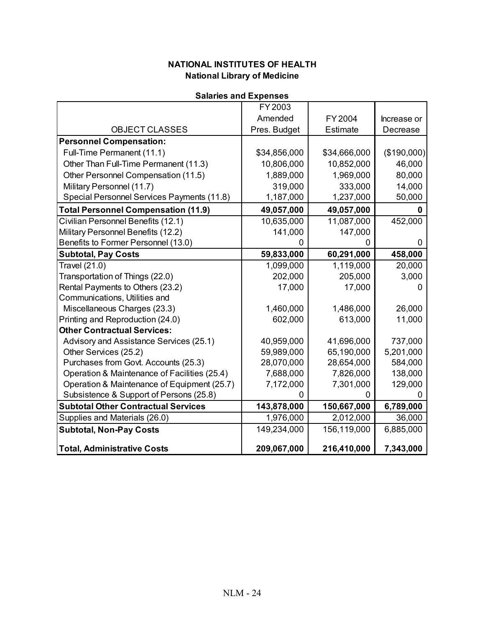|  |  | <b>Salaries and Expenses</b> |  |
|--|--|------------------------------|--|
|--|--|------------------------------|--|

|                                              | FY 2003      |              |             |
|----------------------------------------------|--------------|--------------|-------------|
|                                              | Amended      | FY 2004      | Increase or |
| OBJECT CLASSES                               | Pres. Budget | Estimate     | Decrease    |
| <b>Personnel Compensation:</b>               |              |              |             |
| Full-Time Permanent (11.1)                   | \$34,856,000 | \$34,666,000 | (\$190,000) |
| Other Than Full-Time Permanent (11.3)        | 10,806,000   | 10,852,000   | 46,000      |
| Other Personnel Compensation (11.5)          | 1,889,000    | 1,969,000    | 80,000      |
| Military Personnel (11.7)                    | 319,000      | 333,000      | 14,000      |
| Special Personnel Services Payments (11.8)   | 1,187,000    | 1,237,000    | 50,000      |
| <b>Total Personnel Compensation (11.9)</b>   | 49,057,000   | 49,057,000   | 0           |
| Civilian Personnel Benefits (12.1)           | 10,635,000   | 11,087,000   | 452,000     |
| Military Personnel Benefits (12.2)           | 141,000      | 147,000      |             |
| Benefits to Former Personnel (13.0)          |              |              | 0           |
| <b>Subtotal, Pay Costs</b>                   | 59,833,000   | 60,291,000   | 458,000     |
| Travel (21.0)                                | 1,099,000    | 1,119,000    | 20,000      |
| Transportation of Things (22.0)              | 202,000      | 205,000      | 3,000       |
| Rental Payments to Others (23.2)             | 17,000       | 17,000       | n           |
| Communications, Utilities and                |              |              |             |
| Miscellaneous Charges (23.3)                 | 1,460,000    | 1,486,000    | 26,000      |
| Printing and Reproduction (24.0)             | 602,000      | 613,000      | 11,000      |
| <b>Other Contractual Services:</b>           |              |              |             |
| Advisory and Assistance Services (25.1)      | 40,959,000   | 41,696,000   | 737,000     |
| Other Services (25.2)                        | 59,989,000   | 65,190,000   | 5,201,000   |
| Purchases from Govt. Accounts (25.3)         | 28,070,000   | 28,654,000   | 584,000     |
| Operation & Maintenance of Facilities (25.4) | 7,688,000    | 7,826,000    | 138,000     |
| Operation & Maintenance of Equipment (25.7)  | 7,172,000    | 7,301,000    | 129,000     |
| Subsistence & Support of Persons (25.8)      | ი            | 0            |             |
| <b>Subtotal Other Contractual Services</b>   | 143,878,000  | 150,667,000  | 6,789,000   |
| Supplies and Materials (26.0)                | 1,976,000    | 2,012,000    | 36,000      |
| <b>Subtotal, Non-Pay Costs</b>               | 149,234,000  | 156,119,000  | 6,885,000   |
| <b>Total, Administrative Costs</b>           | 209,067,000  | 216,410,000  | 7,343,000   |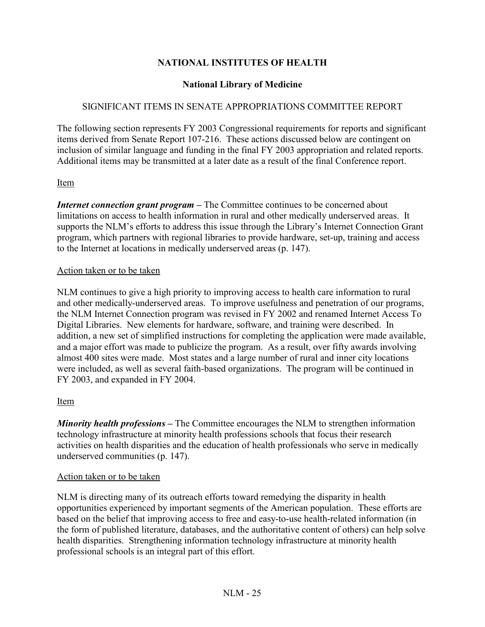## **NATIONAL INSTITUTES OF HEALTH**

## **National Library of Medicine**

## SIGNIFICANT ITEMS IN SENATE APPROPRIATIONS COMMITTEE REPORT

The following section represents FY 2003 Congressional requirements for reports and significant items derived from Senate Report 107-216. These actions discussed below are contingent on inclusion of similar language and funding in the final FY 2003 appropriation and related reports. Additional items may be transmitted at a later date as a result of the final Conference report.

## Item

*Internet connection grant program* – The Committee continues to be concerned about limitations on access to health information in rural and other medically underserved areas. It supports the NLM's efforts to address this issue through the Library's Internet Connection Grant program, which partners with regional libraries to provide hardware, set-up, training and access to the Internet at locations in medically underserved areas (p. 147).

## Action taken or to be taken

NLM continues to give a high priority to improving access to health care information to rural and other medically-underserved areas. To improve usefulness and penetration of our programs, the NLM Internet Connection program was revised in FY 2002 and renamed Internet Access To Digital Libraries. New elements for hardware, software, and training were described. In addition, a new set of simplified instructions for completing the application were made available, and a major effort was made to publicize the program. As a result, over fifty awards involving almost 400 sites were made. Most states and a large number of rural and inner city locations were included, as well as several faith-based organizations. The program will be continued in FY 2003, and expanded in FY 2004.

## Item

*Minority health professions* – The Committee encourages the NLM to strengthen information technology infrastructure at minority health professions schools that focus their research activities on health disparities and the education of health professionals who serve in medically underserved communities (p. 147).

## Action taken or to be taken

NLM is directing many of its outreach efforts toward remedying the disparity in health opportunities experienced by important segments of the American population. These efforts are based on the belief that improving access to free and easy-to-use health-related information (in the form of published literature, databases, and the authoritative content of others) can help solve health disparities. Strengthening information technology infrastructure at minority health professional schools is an integral part of this effort.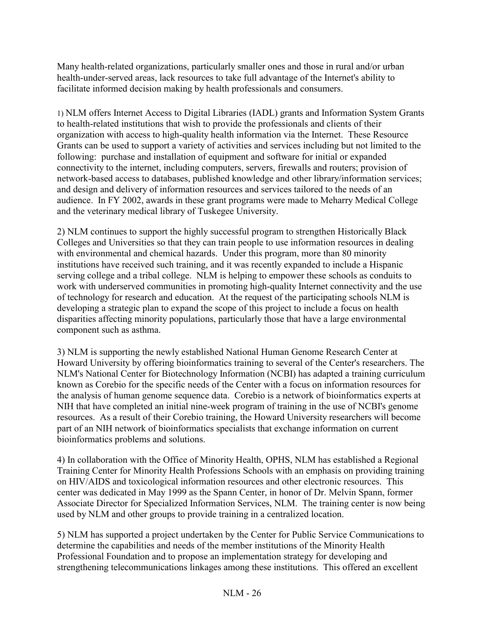Many health-related organizations, particularly smaller ones and those in rural and/or urban health-under-served areas, lack resources to take full advantage of the Internet's ability to facilitate informed decision making by health professionals and consumers.

1) NLM offers Internet Access to Digital Libraries (IADL) grants and Information System Grants to health-related institutions that wish to provide the professionals and clients of their organization with access to high-quality health information via the Internet. These Resource Grants can be used to support a variety of activities and services including but not limited to the following: purchase and installation of equipment and software for initial or expanded connectivity to the internet, including computers, servers, firewalls and routers; provision of network-based access to databases, published knowledge and other library/information services; and design and delivery of information resources and services tailored to the needs of an audience. In FY 2002, awards in these grant programs were made to Meharry Medical College and the veterinary medical library of Tuskegee University.

2) NLM continues to support the highly successful program to strengthen Historically Black Colleges and Universities so that they can train people to use information resources in dealing with environmental and chemical hazards. Under this program, more than 80 minority institutions have received such training, and it was recently expanded to include a Hispanic serving college and a tribal college. NLM is helping to empower these schools as conduits to work with underserved communities in promoting high-quality Internet connectivity and the use of technology for research and education. At the request of the participating schools NLM is developing a strategic plan to expand the scope of this project to include a focus on health disparities affecting minority populations, particularly those that have a large environmental component such as asthma.

3) NLM is supporting the newly established National Human Genome Research Center at Howard University by offering bioinformatics training to several of the Center's researchers. The NLM's National Center for Biotechnology Information (NCBI) has adapted a training curriculum known as Corebio for the specific needs of the Center with a focus on information resources for the analysis of human genome sequence data. Corebio is a network of bioinformatics experts at NIH that have completed an initial nine-week program of training in the use of NCBI's genome resources. As a result of their Corebio training, the Howard University researchers will become part of an NIH network of bioinformatics specialists that exchange information on current bioinformatics problems and solutions.

4) In collaboration with the Office of Minority Health, OPHS, NLM has established a Regional Training Center for Minority Health Professions Schools with an emphasis on providing training on HIV/AIDS and toxicological information resources and other electronic resources. This center was dedicated in May 1999 as the Spann Center, in honor of Dr. Melvin Spann, former Associate Director for Specialized Information Services, NLM. The training center is now being used by NLM and other groups to provide training in a centralized location.

5) NLM has supported a project undertaken by the Center for Public Service Communications to determine the capabilities and needs of the member institutions of the Minority Health Professional Foundation and to propose an implementation strategy for developing and strengthening telecommunications linkages among these institutions. This offered an excellent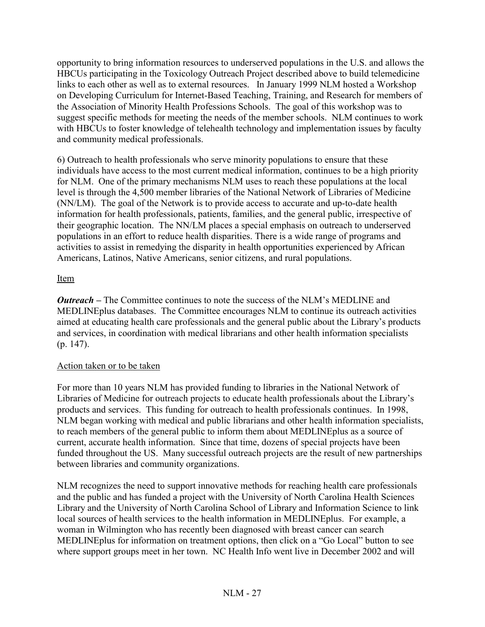opportunity to bring information resources to underserved populations in the U.S. and allows the HBCUs participating in the Toxicology Outreach Project described above to build telemedicine links to each other as well as to external resources. In January 1999 NLM hosted a Workshop on Developing Curriculum for Internet-Based Teaching, Training, and Research for members of the Association of Minority Health Professions Schools. The goal of this workshop was to suggest specific methods for meeting the needs of the member schools. NLM continues to work with HBCUs to foster knowledge of telehealth technology and implementation issues by faculty and community medical professionals.

6) Outreach to health professionals who serve minority populations to ensure that these individuals have access to the most current medical information, continues to be a high priority for NLM. One of the primary mechanisms NLM uses to reach these populations at the local level is through the 4,500 member libraries of the National Network of Libraries of Medicine (NN/LM). The goal of the Network is to provide access to accurate and up-to-date health information for health professionals, patients, families, and the general public, irrespective of their geographic location. The NN/LM places a special emphasis on outreach to underserved populations in an effort to reduce health disparities. There is a wide range of programs and activities to assist in remedying the disparity in health opportunities experienced by African Americans, Latinos, Native Americans, senior citizens, and rural populations.

## Item

*Outreach –* The Committee continues to note the success of the NLM's MEDLINE and MEDLINEplus databases. The Committee encourages NLM to continue its outreach activities aimed at educating health care professionals and the general public about the Library's products and services, in coordination with medical librarians and other health information specialists (p. 147).

## Action taken or to be taken

For more than 10 years NLM has provided funding to libraries in the National Network of Libraries of Medicine for outreach projects to educate health professionals about the Library's products and services. This funding for outreach to health professionals continues. In 1998, NLM began working with medical and public librarians and other health information specialists, to reach members of the general public to inform them about MEDLINEplus as a source of current, accurate health information. Since that time, dozens of special projects have been funded throughout the US. Many successful outreach projects are the result of new partnerships between libraries and community organizations.

NLM recognizes the need to support innovative methods for reaching health care professionals and the public and has funded a project with the University of North Carolina Health Sciences Library and the University of North Carolina School of Library and Information Science to link local sources of health services to the health information in MEDLINEplus. For example, a woman in Wilmington who has recently been diagnosed with breast cancer can search MEDLINEplus for information on treatment options, then click on a "Go Local" button to see where support groups meet in her town. NC Health Info went live in December 2002 and will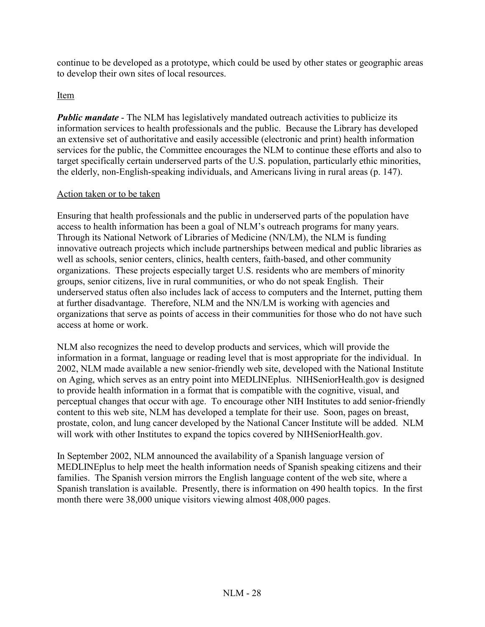continue to be developed as a prototype, which could be used by other states or geographic areas to develop their own sites of local resources.

## Item

*Public mandate* - The NLM has legislatively mandated outreach activities to publicize its information services to health professionals and the public. Because the Library has developed an extensive set of authoritative and easily accessible (electronic and print) health information services for the public, the Committee encourages the NLM to continue these efforts and also to target specifically certain underserved parts of the U.S. population, particularly ethic minorities, the elderly, non-English-speaking individuals, and Americans living in rural areas (p. 147).

## Action taken or to be taken

Ensuring that health professionals and the public in underserved parts of the population have access to health information has been a goal of NLM's outreach programs for many years. Through its National Network of Libraries of Medicine (NN/LM), the NLM is funding innovative outreach projects which include partnerships between medical and public libraries as well as schools, senior centers, clinics, health centers, faith-based, and other community organizations. These projects especially target U.S. residents who are members of minority groups, senior citizens, live in rural communities, or who do not speak English. Their underserved status often also includes lack of access to computers and the Internet, putting them at further disadvantage. Therefore, NLM and the NN/LM is working with agencies and organizations that serve as points of access in their communities for those who do not have such access at home or work.

NLM also recognizes the need to develop products and services, which will provide the information in a format, language or reading level that is most appropriate for the individual. In 2002, NLM made available a new senior-friendly web site, developed with the National Institute on Aging, which serves as an entry point into MEDLINEplus. NIHSeniorHealth.gov is designed to provide health information in a format that is compatible with the cognitive, visual, and perceptual changes that occur with age. To encourage other NIH Institutes to add senior-friendly content to this web site, NLM has developed a template for their use. Soon, pages on breast, prostate, colon, and lung cancer developed by the National Cancer Institute will be added. NLM will work with other Institutes to expand the topics covered by NIHSeniorHealth.gov.

In September 2002, NLM announced the availability of a Spanish language version of MEDLINEplus to help meet the health information needs of Spanish speaking citizens and their families. The Spanish version mirrors the English language content of the web site, where a Spanish translation is available. Presently, there is information on 490 health topics. In the first month there were 38,000 unique visitors viewing almost 408,000 pages.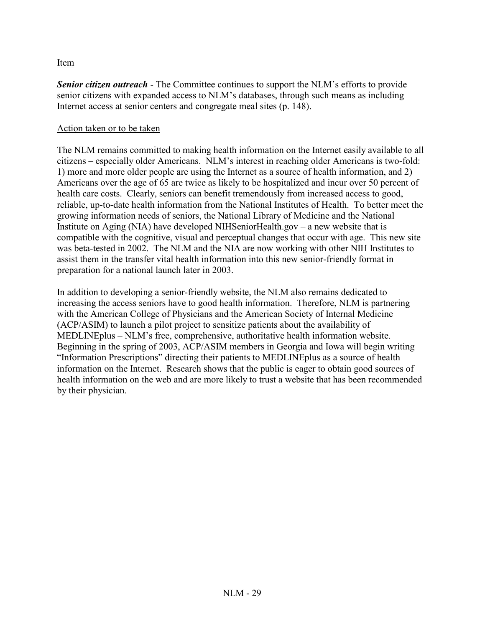## Item

*Senior citizen outreach* - The Committee continues to support the NLM's efforts to provide senior citizens with expanded access to NLM's databases, through such means as including Internet access at senior centers and congregate meal sites (p. 148).

## Action taken or to be taken

The NLM remains committed to making health information on the Internet easily available to all citizens – especially older Americans. NLM's interest in reaching older Americans is two-fold: 1) more and more older people are using the Internet as a source of health information, and 2) Americans over the age of 65 are twice as likely to be hospitalized and incur over 50 percent of health care costs. Clearly, seniors can benefit tremendously from increased access to good, reliable, up-to-date health information from the National Institutes of Health. To better meet the growing information needs of seniors, the National Library of Medicine and the National Institute on Aging (NIA) have developed NIHSeniorHealth.gov – a new website that is compatible with the cognitive, visual and perceptual changes that occur with age. This new site was beta-tested in 2002. The NLM and the NIA are now working with other NIH Institutes to assist them in the transfer vital health information into this new senior-friendly format in preparation for a national launch later in 2003.

In addition to developing a senior-friendly website, the NLM also remains dedicated to increasing the access seniors have to good health information. Therefore, NLM is partnering with the American College of Physicians and the American Society of Internal Medicine (ACP/ASIM) to launch a pilot project to sensitize patients about the availability of MEDLINEplus – NLM's free, comprehensive, authoritative health information website. Beginning in the spring of 2003, ACP/ASIM members in Georgia and Iowa will begin writing "Information Prescriptions" directing their patients to MEDLINEplus as a source of health information on the Internet. Research shows that the public is eager to obtain good sources of health information on the web and are more likely to trust a website that has been recommended by their physician.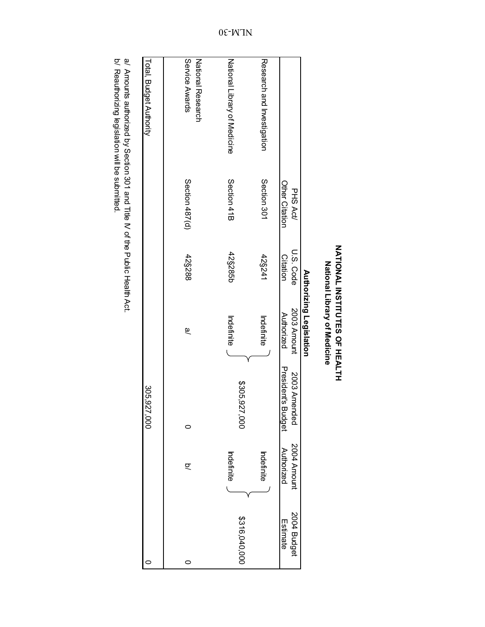|                                     |                                  |                       | <b>Authorizing Legislation</b> |                                    |                           |                         |
|-------------------------------------|----------------------------------|-----------------------|--------------------------------|------------------------------------|---------------------------|-------------------------|
|                                     | Other Citation<br><b>PHS Act</b> | U.S. Code<br>Citation | 2003 Amount<br>Authorized      | President's Budget<br>2003 Amended | 2004 Amount<br>Authorized | 2004 Budget<br>Estimate |
| Research and Investigation          | Section 301                      | 42§241                | Indefinite                     |                                    | Indefinite                |                         |
| National Library of Medicine        | Section 41B                      | 42§285b               | Indefinite                     | \$305,927<br>.<br>80               | Indefinite                | \$316,040,000           |
| Service Awards<br>National Research | Section 487(d)                   | 42§288                | டு                             |                                    | ΙQ                        |                         |
| Total, Budget Authority             |                                  |                       |                                | 305,927,000                        |                           |                         |

NATIONAL INSTITUTES OF HEALTH<br>National Library of Medicine

a/ Amounts authorized by Section 301 and Title IV of the Public Health Act.<br>b/ Reauthorizing legislation will be submitted. a/ Amounts authorized by Section 301 and Title IV of the Public Health Act.

b/ Reauthorizing legislation will be submitted.

0E-WTN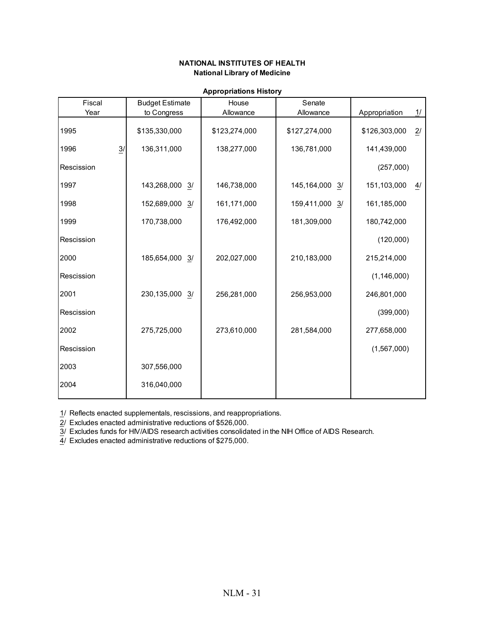| Fiscal                   | <b>Budget Estimate</b> | House         | Senate            |               |                  |
|--------------------------|------------------------|---------------|-------------------|---------------|------------------|
| Year                     | to Congress            | Allowance     | Allowance         | Appropriation | $\frac{1}{1}$    |
| 1995                     | \$135,330,000          | \$123,274,000 | \$127,274,000     | \$126,303,000 | $\overline{2}$ / |
| $\overline{3}$ /<br>1996 | 136,311,000            | 138,277,000   | 136,781,000       | 141,439,000   |                  |
| Rescission               |                        |               |                   | (257,000)     |                  |
| 1997                     | 143,268,000 3/         | 146,738,000   | 145,164,000<br>3/ | 151,103,000   | 4/               |
| 1998                     | 152,689,000 3/         | 161,171,000   | 159,411,000 3/    | 161,185,000   |                  |
| 1999                     | 170,738,000            | 176,492,000   | 181,309,000       | 180,742,000   |                  |
| Rescission               |                        |               |                   | (120,000)     |                  |
| 2000                     | 185,654,000 3/         | 202,027,000   | 210,183,000       | 215,214,000   |                  |
| Rescission               |                        |               |                   | (1, 146, 000) |                  |
| 2001                     | 230,135,000 3/         | 256,281,000   | 256,953,000       | 246,801,000   |                  |
| Rescission               |                        |               |                   | (399,000)     |                  |
| 2002                     | 275,725,000            | 273,610,000   | 281,584,000       | 277,658,000   |                  |
| Rescission               |                        |               |                   | (1,567,000)   |                  |
| 2003                     | 307,556,000            |               |                   |               |                  |
| 2004                     | 316,040,000            |               |                   |               |                  |
|                          |                        |               |                   |               |                  |

#### **Appropriations History**

1/ Reflects enacted supplementals, rescissions, and reappropriations.

2/ Excludes enacted administrative reductions of \$526,000.

3/ Excludes funds for HIV/AIDS research activities consolidated in the NIH Office of AIDS Research.

4/ Excludes enacted administrative reductions of \$275,000.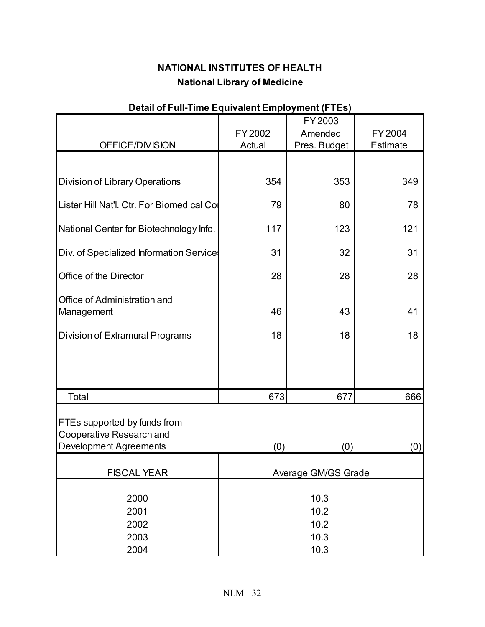| $\alpha$ . The case of the contraction of $\alpha$ is the contract of $\alpha$ |         |                     |          |
|--------------------------------------------------------------------------------|---------|---------------------|----------|
|                                                                                |         | FY 2003             |          |
|                                                                                | FY 2002 | Amended             | FY2004   |
| OFFICE/DIVISION                                                                | Actual  | Pres. Budget        | Estimate |
|                                                                                |         |                     |          |
|                                                                                |         |                     |          |
| Division of Library Operations                                                 | 354     | 353                 | 349      |
|                                                                                |         |                     |          |
| Lister Hill Nat'l. Ctr. For Biomedical Co                                      | 79      | 80                  | 78       |
|                                                                                |         |                     |          |
| National Center for Biotechnology Info.                                        | 117     | 123                 | 121      |
|                                                                                |         |                     |          |
| Div. of Specialized Information Service                                        | 31      | 32                  | 31       |
|                                                                                |         |                     |          |
| Office of the Director                                                         | 28      | 28                  | 28       |
|                                                                                |         |                     |          |
| Office of Administration and                                                   |         |                     |          |
| Management                                                                     | 46      | 43                  | 41       |
|                                                                                |         |                     |          |
| Division of Extramural Programs                                                | 18      | 18                  | 18       |
|                                                                                |         |                     |          |
|                                                                                |         |                     |          |
|                                                                                |         |                     |          |
| Total                                                                          | 673     | 677                 | 666      |
|                                                                                |         |                     |          |
|                                                                                |         |                     |          |
| FTEs supported by funds from                                                   |         |                     |          |
| Cooperative Research and                                                       |         |                     |          |
| <b>Development Agreements</b>                                                  | (0)     | (0)                 | (0)      |
|                                                                                |         |                     |          |
| <b>FISCAL YEAR</b>                                                             |         | Average GM/GS Grade |          |
|                                                                                |         |                     |          |
| 2000                                                                           |         | 10.3                |          |
| 2001                                                                           |         | 10.2                |          |
| 2002                                                                           |         | 10.2                |          |
| 2003                                                                           |         | 10.3                |          |
| 2004                                                                           |         | 10.3                |          |

# **Detail of Full-Time Equivalent Employment (FTEs)**